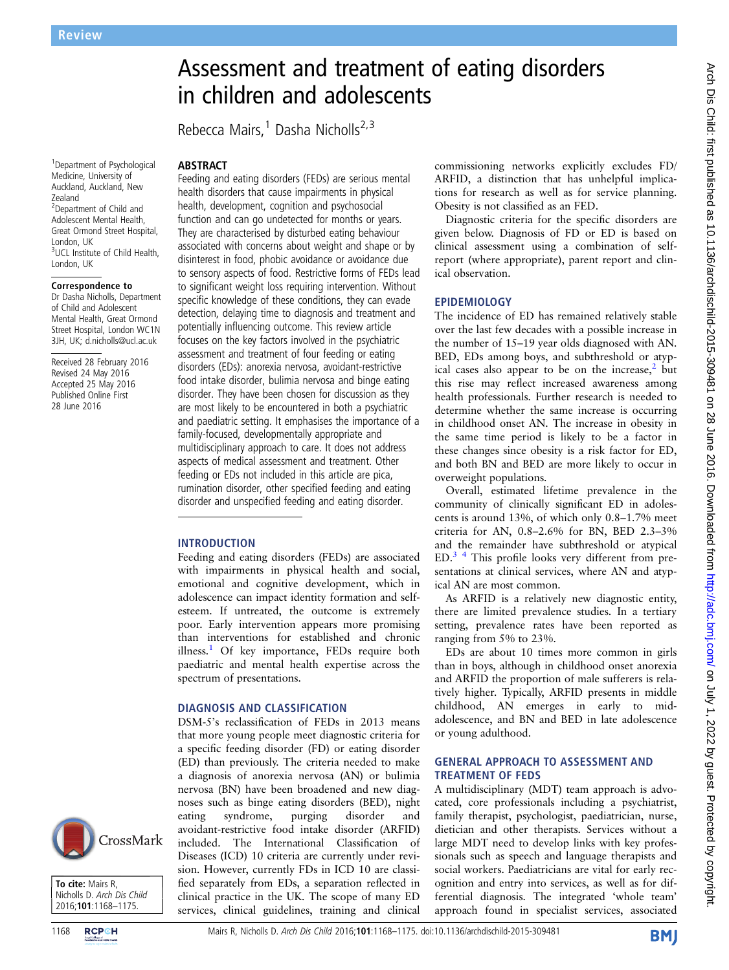1 Department of Psychological Medicine, University of Auckland, Auckland, New Zealand <sup>2</sup>Department of Child and Adolescent Mental Health, Great Ormond Street Hospital, London, UK 3 UCL Institute of Child Health, London, UK

#### Correspondence to

Dr Dasha Nicholls, Department of Child and Adolescent Mental Health, Great Ormond Street Hospital, London WC1N 3JH, UK; d.nicholls@ucl.ac.uk

Received 28 February 2016 Revised 24 May 2016 Accepted 25 May 2016 Published Online First 28 June 2016

# CrossMark



# Assessment and treatment of eating disorders in children and adolescents

Rebecca Mairs,<sup>1</sup> Dasha Nicholls<sup>2,3</sup>

#### ABSTRACT

Feeding and eating disorders (FEDs) are serious mental health disorders that cause impairments in physical health, development, cognition and psychosocial function and can go undetected for months or years. They are characterised by disturbed eating behaviour associated with concerns about weight and shape or by disinterest in food, phobic avoidance or avoidance due to sensory aspects of food. Restrictive forms of FEDs lead to significant weight loss requiring intervention. Without specific knowledge of these conditions, they can evade detection, delaying time to diagnosis and treatment and potentially influencing outcome. This review article focuses on the key factors involved in the psychiatric assessment and treatment of four feeding or eating disorders (EDs): anorexia nervosa, avoidant-restrictive food intake disorder, bulimia nervosa and binge eating disorder. They have been chosen for discussion as they are most likely to be encountered in both a psychiatric and paediatric setting. It emphasises the importance of a family-focused, developmentally appropriate and multidisciplinary approach to care. It does not address aspects of medical assessment and treatment. Other feeding or EDs not included in this article are pica, rumination disorder, other specified feeding and eating disorder and unspecified feeding and eating disorder.

# INTRODUCTION

Feeding and eating disorders (FEDs) are associated with impairments in physical health and social, emotional and cognitive development, which in adolescence can impact identity formation and selfesteem. If untreated, the outcome is extremely poor. Early intervention appears more promising than interventions for established and chronic illness.[1](#page-6-0) Of key importance, FEDs require both paediatric and mental health expertise across the spectrum of presentations.

# DIAGNOSIS AND CLASSIFICATION

DSM-5's reclassification of FEDs in 2013 means that more young people meet diagnostic criteria for a specific feeding disorder (FD) or eating disorder (ED) than previously. The criteria needed to make a diagnosis of anorexia nervosa (AN) or bulimia nervosa (BN) have been broadened and new diagnoses such as binge eating disorders (BED), night eating syndrome, purging disorder and avoidant-restrictive food intake disorder (ARFID) included. The International Classification of Diseases (ICD) 10 criteria are currently under revision. However, currently FDs in ICD 10 are classified separately from EDs, a separation reflected in clinical practice in the UK. The scope of many ED services, clinical guidelines, training and clinical

commissioning networks explicitly excludes FD/ ARFID, a distinction that has unhelpful implications for research as well as for service planning. Obesity is not classified as an FED.

Diagnostic criteria for the specific disorders are given below. Diagnosis of FD or ED is based on clinical assessment using a combination of selfreport (where appropriate), parent report and clinical observation.

# EPIDEMIOLOGY

The incidence of ED has remained relatively stable over the last few decades with a possible increase in the number of 15–19 year olds diagnosed with AN. BED, EDs among boys, and subthreshold or atypical cases also appear to be on the increase, $<sup>2</sup>$  $<sup>2</sup>$  $<sup>2</sup>$  but</sup> this rise may reflect increased awareness among health professionals. Further research is needed to determine whether the same increase is occurring in childhood onset AN. The increase in obesity in the same time period is likely to be a factor in these changes since obesity is a risk factor for ED, and both BN and BED are more likely to occur in overweight populations.

Overall, estimated lifetime prevalence in the community of clinically significant ED in adolescents is around 13%, of which only 0.8–1.7% meet criteria for AN, 0.8–2.6% for BN, BED 2.3–3% and the remainder have subthreshold or atypical  $ED<sup>3</sup>$ <sup>4</sup> This profile looks very different from presentations at clinical services, where AN and atypical AN are most common.

As ARFID is a relatively new diagnostic entity, there are limited prevalence studies. In a tertiary setting, prevalence rates have been reported as ranging from 5% to 23%.

EDs are about 10 times more common in girls than in boys, although in childhood onset anorexia and ARFID the proportion of male sufferers is relatively higher. Typically, ARFID presents in middle childhood, AN emerges in early to midadolescence, and BN and BED in late adolescence or young adulthood.

# GENERAL APPROACH TO ASSESSMENT AND TREATMENT OF FEDS

A multidisciplinary (MDT) team approach is advocated, core professionals including a psychiatrist, family therapist, psychologist, paediatrician, nurse, dietician and other therapists. Services without a large MDT need to develop links with key professionals such as speech and language therapists and social workers. Paediatricians are vital for early recognition and entry into services, as well as for differential diagnosis. The integrated 'whole team' approach found in specialist services, associated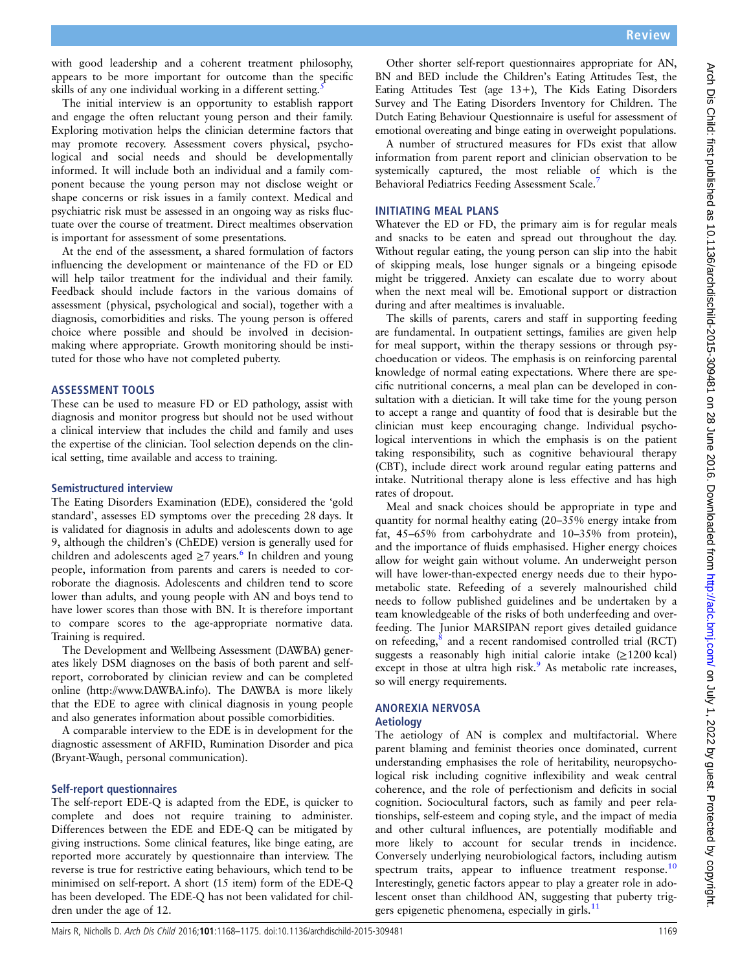with good leadership and a coherent treatment philosophy, appears to be more important for outcome than the specific skills of any one individual working in a different setting.

The initial interview is an opportunity to establish rapport and engage the often reluctant young person and their family. Exploring motivation helps the clinician determine factors that may promote recovery. Assessment covers physical, psychological and social needs and should be developmentally informed. It will include both an individual and a family component because the young person may not disclose weight or shape concerns or risk issues in a family context. Medical and psychiatric risk must be assessed in an ongoing way as risks fluctuate over the course of treatment. Direct mealtimes observation is important for assessment of some presentations.

At the end of the assessment, a shared formulation of factors influencing the development or maintenance of the FD or ED will help tailor treatment for the individual and their family. Feedback should include factors in the various domains of assessment (physical, psychological and social), together with a diagnosis, comorbidities and risks. The young person is offered choice where possible and should be involved in decisionmaking where appropriate. Growth monitoring should be instituted for those who have not completed puberty.

#### ASSESSMENT TOOLS

These can be used to measure FD or ED pathology, assist with diagnosis and monitor progress but should not be used without a clinical interview that includes the child and family and uses the expertise of the clinician. Tool selection depends on the clinical setting, time available and access to training.

# Semistructured interview

The Eating Disorders Examination (EDE), considered the 'gold standard', assesses ED symptoms over the preceding 28 days. It is validated for diagnosis in adults and adolescents down to age 9, although the children's (ChEDE) version is generally used for children and adolescents aged  $\geq$ 7 years.<sup>[6](#page-6-0)</sup> In children and young people, information from parents and carers is needed to corroborate the diagnosis. Adolescents and children tend to score lower than adults, and young people with AN and boys tend to have lower scores than those with BN. It is therefore important to compare scores to the age-appropriate normative data. Training is required.

The Development and Wellbeing Assessment (DAWBA) generates likely DSM diagnoses on the basis of both parent and selfreport, corroborated by clinician review and can be completed online [\(http://www.DAWBA.info](http://www.DAWBA.info)). The DAWBA is more likely that the EDE to agree with clinical diagnosis in young people and also generates information about possible comorbidities.

A comparable interview to the EDE is in development for the diagnostic assessment of ARFID, Rumination Disorder and pica (Bryant-Waugh, personal communication).

# Self-report questionnaires

The self-report EDE-Q is adapted from the EDE, is quicker to complete and does not require training to administer. Differences between the EDE and EDE-Q can be mitigated by giving instructions. Some clinical features, like binge eating, are reported more accurately by questionnaire than interview. The reverse is true for restrictive eating behaviours, which tend to be minimised on self-report. A short (15 item) form of the EDE-Q has been developed. The EDE-Q has not been validated for children under the age of 12.

Other shorter self-report questionnaires appropriate for AN, BN and BED include the Children's Eating Attitudes Test, the Eating Attitudes Test (age  $13+$ ), The Kids Eating Disorders Survey and The Eating Disorders Inventory for Children. The Dutch Eating Behaviour Questionnaire is useful for assessment of emotional overeating and binge eating in overweight populations.

A number of structured measures for FDs exist that allow information from parent report and clinician observation to be systemically captured, the most reliable of which is the Behavioral Pediatrics Feeding Assessment Scale.[7](#page-6-0)

# INITIATING MEAL PLANS

Whatever the ED or FD, the primary aim is for regular meals and snacks to be eaten and spread out throughout the day. Without regular eating, the young person can slip into the habit of skipping meals, lose hunger signals or a bingeing episode might be triggered. Anxiety can escalate due to worry about when the next meal will be. Emotional support or distraction during and after mealtimes is invaluable.

The skills of parents, carers and staff in supporting feeding are fundamental. In outpatient settings, families are given help for meal support, within the therapy sessions or through psychoeducation or videos. The emphasis is on reinforcing parental knowledge of normal eating expectations. Where there are specific nutritional concerns, a meal plan can be developed in consultation with a dietician. It will take time for the young person to accept a range and quantity of food that is desirable but the clinician must keep encouraging change. Individual psychological interventions in which the emphasis is on the patient taking responsibility, such as cognitive behavioural therapy (CBT), include direct work around regular eating patterns and intake. Nutritional therapy alone is less effective and has high rates of dropout.

Meal and snack choices should be appropriate in type and quantity for normal healthy eating (20–35% energy intake from fat, 45–65% from carbohydrate and 10–35% from protein), and the importance of fluids emphasised. Higher energy choices allow for weight gain without volume. An underweight person will have lower-than-expected energy needs due to their hypometabolic state. Refeeding of a severely malnourished child needs to follow published guidelines and be undertaken by a team knowledgeable of the risks of both underfeeding and overfeeding. The Junior MARSIPAN report gives detailed guidance on refeeding[,8](#page-6-0) and a recent randomised controlled trial (RCT) suggests a reasonably high initial calorie intake  $(\geq 1200 \text{ kcal})$ except in those at ultra high risk. $9$  As metabolic rate increases, so will energy requirements.

# ANOREXIA NERVOSA

# Aetiology

The aetiology of AN is complex and multifactorial. Where parent blaming and feminist theories once dominated, current understanding emphasises the role of heritability, neuropsychological risk including cognitive inflexibility and weak central coherence, and the role of perfectionism and deficits in social cognition. Sociocultural factors, such as family and peer relationships, self-esteem and coping style, and the impact of media and other cultural influences, are potentially modifiable and more likely to account for secular trends in incidence. Conversely underlying neurobiological factors, including autism spectrum traits, appear to influence treatment response.<sup>[10](#page-6-0)</sup> Interestingly, genetic factors appear to play a greater role in adolescent onset than childhood AN, suggesting that puberty trig-gers epigenetic phenomena, especially in girls.<sup>[11](#page-6-0)</sup>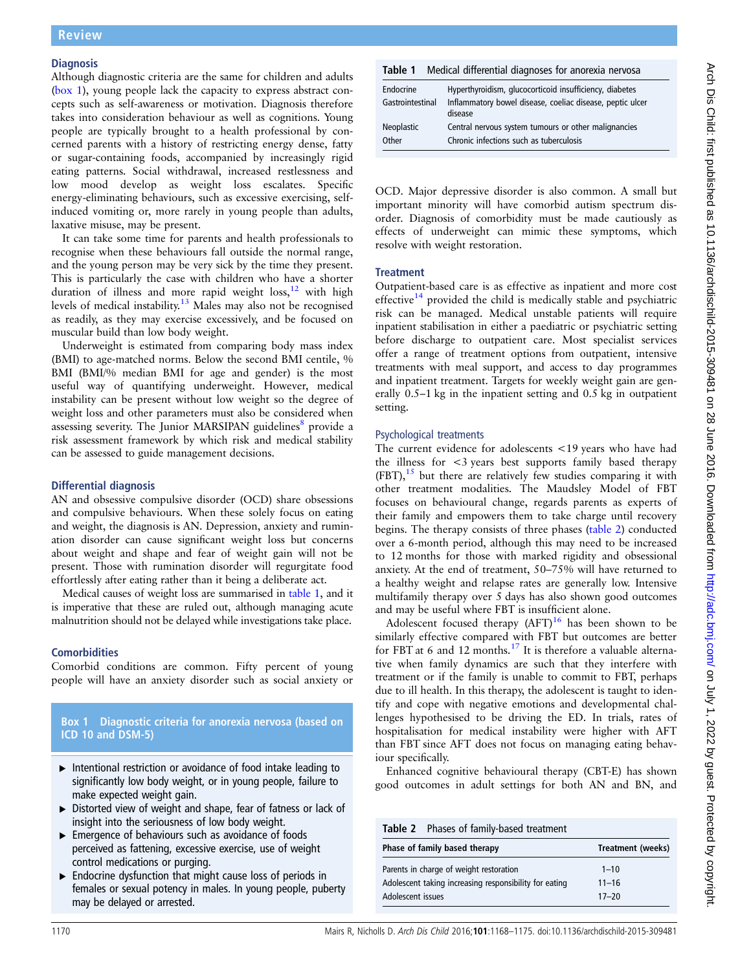# <span id="page-2-0"></span>**Diagnosis**

Although diagnostic criteria are the same for children and adults (box 1), young people lack the capacity to express abstract concepts such as self-awareness or motivation. Diagnosis therefore takes into consideration behaviour as well as cognitions. Young people are typically brought to a health professional by concerned parents with a history of restricting energy dense, fatty or sugar-containing foods, accompanied by increasingly rigid eating patterns. Social withdrawal, increased restlessness and low mood develop as weight loss escalates. Specific energy-eliminating behaviours, such as excessive exercising, selfinduced vomiting or, more rarely in young people than adults, laxative misuse, may be present.

It can take some time for parents and health professionals to recognise when these behaviours fall outside the normal range, and the young person may be very sick by the time they present. This is particularly the case with children who have a shorter duration of illness and more rapid weight  $loss<sub>12</sub>$  $loss<sub>12</sub>$  $loss<sub>12</sub>$  with high levels of medical instability.[13](#page-6-0) Males may also not be recognised as readily, as they may exercise excessively, and be focused on muscular build than low body weight.

Underweight is estimated from comparing body mass index (BMI) to age-matched norms. Below the second BMI centile, % BMI (BMI/% median BMI for age and gender) is the most useful way of quantifying underweight. However, medical instability can be present without low weight so the degree of weight loss and other parameters must also be considered when assessing severity. The Junior MARSIPAN guidelines<sup>[8](#page-6-0)</sup> provide a risk assessment framework by which risk and medical stability can be assessed to guide management decisions.

# Differential diagnosis

AN and obsessive compulsive disorder (OCD) share obsessions and compulsive behaviours. When these solely focus on eating and weight, the diagnosis is AN. Depression, anxiety and rumination disorder can cause significant weight loss but concerns about weight and shape and fear of weight gain will not be present. Those with rumination disorder will regurgitate food effortlessly after eating rather than it being a deliberate act.

Medical causes of weight loss are summarised in table 1, and it is imperative that these are ruled out, although managing acute malnutrition should not be delayed while investigations take place.

# **Comorbidities**

Comorbid conditions are common. Fifty percent of young people will have an anxiety disorder such as social anxiety or

# Box 1 Diagnostic criteria for anorexia nervosa (based on ICD 10 and DSM-5)

- ▸ Intentional restriction or avoidance of food intake leading to significantly low body weight, or in young people, failure to make expected weight gain.
- ▸ Distorted view of weight and shape, fear of fatness or lack of insight into the seriousness of low body weight.
- ▸ Emergence of behaviours such as avoidance of foods perceived as fattening, excessive exercise, use of weight control medications or purging.
- ► Endocrine dysfunction that might cause loss of periods in females or sexual potency in males. In young people, puberty may be delayed or arrested.

# Table 1 Medical differential diagnoses for anorexia nervosa

| Endocrine        | Hyperthyroidism, glucocorticoid insufficiency, diabetes              |
|------------------|----------------------------------------------------------------------|
| Gastrointestinal | Inflammatory bowel disease, coeliac disease, peptic ulcer<br>disease |
| Neoplastic       | Central nervous system tumours or other malignancies                 |
| Other            | Chronic infections such as tuberculosis                              |

OCD. Major depressive disorder is also common. A small but important minority will have comorbid autism spectrum disorder. Diagnosis of comorbidity must be made cautiously as effects of underweight can mimic these symptoms, which resolve with weight restoration.

# **Treatment**

Outpatient-based care is as effective as inpatient and more cost effective<sup>14</sup> provided the child is medically stable and psychiatric risk can be managed. Medical unstable patients will require inpatient stabilisation in either a paediatric or psychiatric setting before discharge to outpatient care. Most specialist services offer a range of treatment options from outpatient, intensive treatments with meal support, and access to day programmes and inpatient treatment. Targets for weekly weight gain are generally 0.5–1 kg in the inpatient setting and 0.5 kg in outpatient setting.

# Psychological treatments

The current evidence for adolescents <19 years who have had the illness for  $\lt$ 3 years best supports family based therapy  $(FBT)$ ,<sup>[15](#page-6-0)</sup> but there are relatively few studies comparing it with other treatment modalities. The Maudsley Model of FBT focuses on behavioural change, regards parents as experts of their family and empowers them to take charge until recovery begins. The therapy consists of three phases (table 2) conducted over a 6-month period, although this may need to be increased to 12 months for those with marked rigidity and obsessional anxiety. At the end of treatment, 50–75% will have returned to a healthy weight and relapse rates are generally low. Intensive multifamily therapy over 5 days has also shown good outcomes and may be useful where FBT is insufficient alone.

Adolescent focused therapy  $(AFT)^{16}$  $(AFT)^{16}$  $(AFT)^{16}$  has been shown to be similarly effective compared with FBT but outcomes are better for FBT at 6 and 12 months.<sup>[17](#page-6-0)</sup> It is therefore a valuable alternative when family dynamics are such that they interfere with treatment or if the family is unable to commit to FBT, perhaps due to ill health. In this therapy, the adolescent is taught to identify and cope with negative emotions and developmental challenges hypothesised to be driving the ED. In trials, rates of hospitalisation for medical instability were higher with AFT than FBT since AFT does not focus on managing eating behaviour specifically.

Enhanced cognitive behavioural therapy (CBT-E) has shown good outcomes in adult settings for both AN and BN, and

| Table 2 Phases of family-based treatment               |                   |  |
|--------------------------------------------------------|-------------------|--|
| Phase of family based therapy                          | Treatment (weeks) |  |
| Parents in charge of weight restoration                | $1 - 10$          |  |
| Adolescent taking increasing responsibility for eating | $11 - 16$         |  |
| Adolescent issues                                      | $17 - 20$         |  |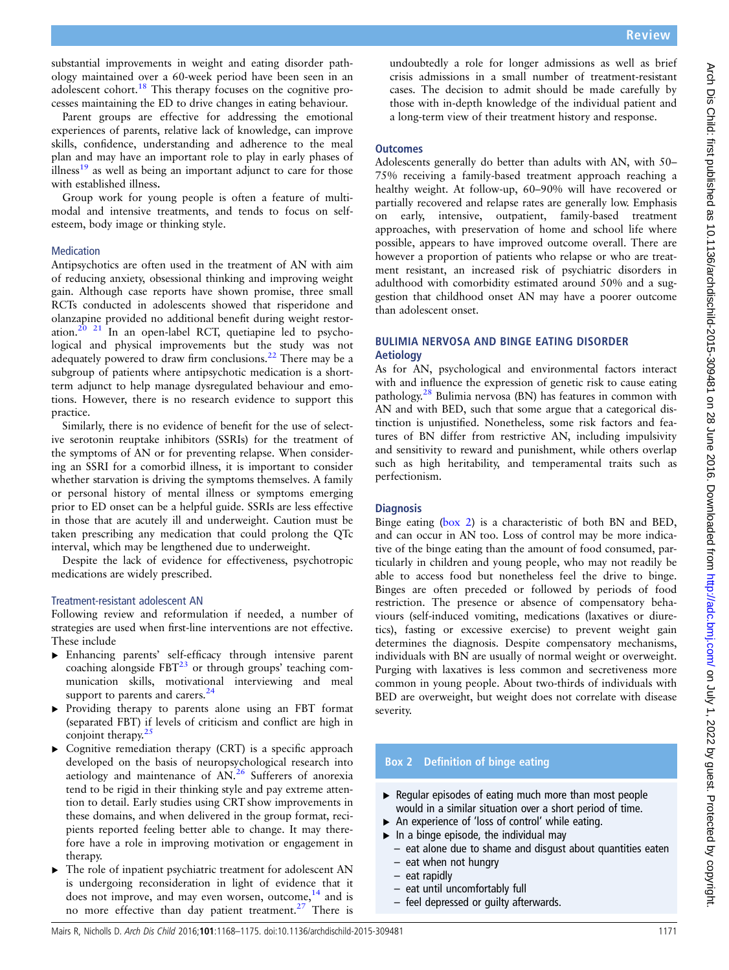substantial improvements in weight and eating disorder pathology maintained over a 60-week period have been seen in an adolescent cohort.[18](#page-6-0) This therapy focuses on the cognitive processes maintaining the ED to drive changes in eating behaviour.

Parent groups are effective for addressing the emotional experiences of parents, relative lack of knowledge, can improve skills, confidence, understanding and adherence to the meal plan and may have an important role to play in early phases of  $\mu$ illness<sup>[19](#page-6-0)</sup> as well as being an important adjunct to care for those with established illness.

Group work for young people is often a feature of multimodal and intensive treatments, and tends to focus on selfesteem, body image or thinking style.

#### Medication

Antipsychotics are often used in the treatment of AN with aim of reducing anxiety, obsessional thinking and improving weight gain. Although case reports have shown promise, three small RCTs conducted in adolescents showed that risperidone and olanzapine provided no additional benefit during weight restor-ation.<sup>[20 21](#page-6-0)</sup> In an open-label RCT, quetiapine led to psychological and physical improvements but the study was not adequately powered to draw firm conclusions.<sup>[22](#page-6-0)</sup> There may be a subgroup of patients where antipsychotic medication is a shortterm adjunct to help manage dysregulated behaviour and emotions. However, there is no research evidence to support this practice.

Similarly, there is no evidence of benefit for the use of selective serotonin reuptake inhibitors (SSRIs) for the treatment of the symptoms of AN or for preventing relapse. When considering an SSRI for a comorbid illness, it is important to consider whether starvation is driving the symptoms themselves. A family or personal history of mental illness or symptoms emerging prior to ED onset can be a helpful guide. SSRIs are less effective in those that are acutely ill and underweight. Caution must be taken prescribing any medication that could prolong the QTc interval, which may be lengthened due to underweight.

Despite the lack of evidence for effectiveness, psychotropic medications are widely prescribed.

#### Treatment-resistant adolescent AN

Following review and reformulation if needed, a number of strategies are used when first-line interventions are not effective. These include

- ▸ Enhancing parents' self-efficacy through intensive parent coaching alongside  $FBT^{23}$  or through groups' teaching communication skills, motivational interviewing and meal support to parents and carers.<sup>[24](#page-6-0)</sup>
- ▸ Providing therapy to parents alone using an FBT format (separated FBT) if levels of criticism and conflict are high in conjoint therapy.<sup>[25](#page-6-0)</sup>
- ▸ Cognitive remediation therapy (CRT) is a specific approach developed on the basis of neuropsychological research into aetiology and maintenance of AN.<sup>[26](#page-6-0)</sup> Sufferers of anorexia tend to be rigid in their thinking style and pay extreme attention to detail. Early studies using CRT show improvements in these domains, and when delivered in the group format, recipients reported feeling better able to change. It may therefore have a role in improving motivation or engagement in therapy.
- ▸ The role of inpatient psychiatric treatment for adolescent AN is undergoing reconsideration in light of evidence that it does not improve, and may even worsen, outcome, $14$  and is no more effective than day patient treatment. $27$  There is

undoubtedly a role for longer admissions as well as brief crisis admissions in a small number of treatment-resistant cases. The decision to admit should be made carefully by those with in-depth knowledge of the individual patient and a long-term view of their treatment history and response.

#### **Outcomes**

Adolescents generally do better than adults with AN, with 50– 75% receiving a family-based treatment approach reaching a healthy weight. At follow-up, 60–90% will have recovered or partially recovered and relapse rates are generally low. Emphasis on early, intensive, outpatient, family-based treatment approaches, with preservation of home and school life where possible, appears to have improved outcome overall. There are however a proportion of patients who relapse or who are treatment resistant, an increased risk of psychiatric disorders in adulthood with comorbidity estimated around 50% and a suggestion that childhood onset AN may have a poorer outcome than adolescent onset.

#### BULIMIA NERVOSA AND BINGE EATING DISORDER **Aetiology**

As for AN, psychological and environmental factors interact with and influence the expression of genetic risk to cause eating pathology.<sup>[28](#page-6-0)</sup> Bulimia nervosa (BN) has features in common with AN and with BED, such that some argue that a categorical distinction is unjustified. Nonetheless, some risk factors and features of BN differ from restrictive AN, including impulsivity and sensitivity to reward and punishment, while others overlap such as high heritability, and temperamental traits such as perfectionism.

# **Diagnosis**

Binge eating (box 2) is a characteristic of both BN and BED, and can occur in AN too. Loss of control may be more indicative of the binge eating than the amount of food consumed, particularly in children and young people, who may not readily be able to access food but nonetheless feel the drive to binge. Binges are often preceded or followed by periods of food restriction. The presence or absence of compensatory behaviours (self-induced vomiting, medications (laxatives or diuretics), fasting or excessive exercise) to prevent weight gain determines the diagnosis. Despite compensatory mechanisms, individuals with BN are usually of normal weight or overweight. Purging with laxatives is less common and secretiveness more common in young people. About two-thirds of individuals with BED are overweight, but weight does not correlate with disease severity.

# Box 2 Definition of binge eating

- $\triangleright$  Regular episodes of eating much more than most people would in a similar situation over a short period of time.
- ▶ An experience of 'loss of control' while eating.
- $\blacktriangleright$  In a binge episode, the individual may
	- eat alone due to shame and disgust about quantities eaten
	- eat when not hungry
	- eat rapidly
	- eat until uncomfortably full
	- feel depressed or guilty afterwards.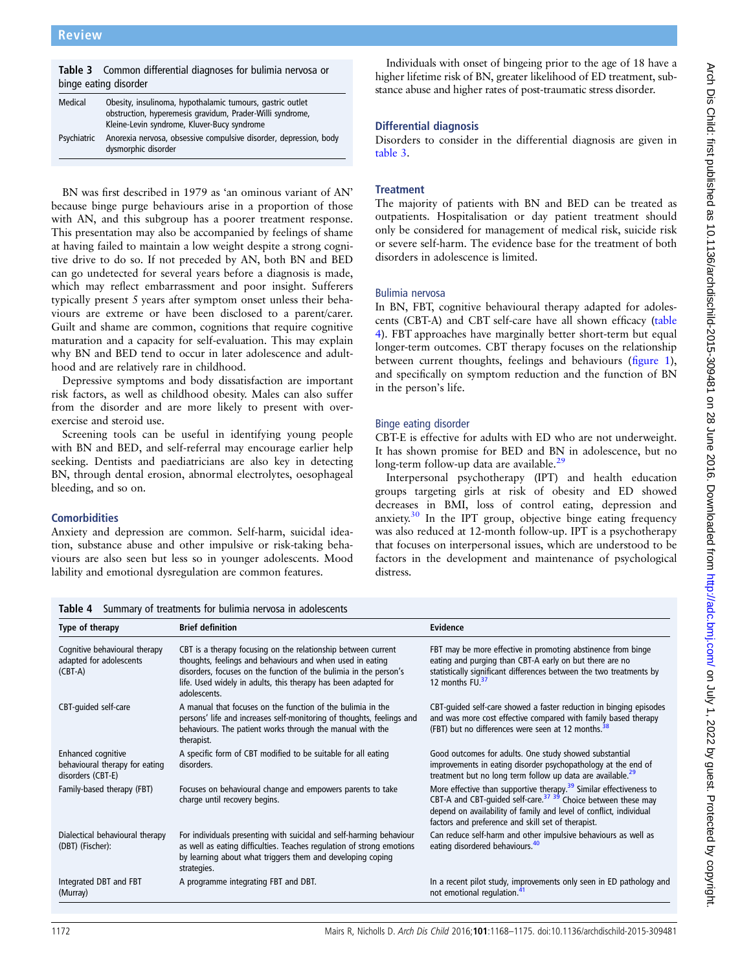| <b>Table 3</b> Common differential diagnoses for bulimia nervosa or |  |  |  |
|---------------------------------------------------------------------|--|--|--|
| binge eating disorder                                               |  |  |  |

| Medical     | Obesity, insulinoma, hypothalamic tumours, gastric outlet<br>obstruction, hyperemesis gravidum, Prader-Willi syndrome,<br>Kleine-Levin syndrome, Kluver-Bucy syndrome |
|-------------|-----------------------------------------------------------------------------------------------------------------------------------------------------------------------|
| Psychiatric | Anorexia nervosa, obsessive compulsive disorder, depression, body<br>dysmorphic disorder                                                                              |

BN was first described in 1979 as 'an ominous variant of AN' because binge purge behaviours arise in a proportion of those with AN, and this subgroup has a poorer treatment response. This presentation may also be accompanied by feelings of shame at having failed to maintain a low weight despite a strong cognitive drive to do so. If not preceded by AN, both BN and BED can go undetected for several years before a diagnosis is made, which may reflect embarrassment and poor insight. Sufferers typically present 5 years after symptom onset unless their behaviours are extreme or have been disclosed to a parent/carer. Guilt and shame are common, cognitions that require cognitive maturation and a capacity for self-evaluation. This may explain why BN and BED tend to occur in later adolescence and adulthood and are relatively rare in childhood.

Depressive symptoms and body dissatisfaction are important risk factors, as well as childhood obesity. Males can also suffer from the disorder and are more likely to present with overexercise and steroid use.

Screening tools can be useful in identifying young people with BN and BED, and self-referral may encourage earlier help seeking. Dentists and paediatricians are also key in detecting BN, through dental erosion, abnormal electrolytes, oesophageal bleeding, and so on.

# **Comorbidities**

Anxiety and depression are common. Self-harm, suicidal ideation, substance abuse and other impulsive or risk-taking behaviours are also seen but less so in younger adolescents. Mood lability and emotional dysregulation are common features.

Individuals with onset of bingeing prior to the age of 18 have a higher lifetime risk of BN, greater likelihood of ED treatment, substance abuse and higher rates of post-traumatic stress disorder.

# Differential diagnosis

Disorders to consider in the differential diagnosis are given in table 3.

# **Treatment**

The majority of patients with BN and BED can be treated as outpatients. Hospitalisation or day patient treatment should only be considered for management of medical risk, suicide risk or severe self-harm. The evidence base for the treatment of both disorders in adolescence is limited.

# Bulimia nervosa

In BN, FBT, cognitive behavioural therapy adapted for adolescents (CBT-A) and CBT self-care have all shown efficacy (table 4). FBT approaches have marginally better short-term but equal longer-term outcomes. CBT therapy focuses on the relationship between current thoughts, feelings and behaviours (fi[gure 1\)](#page-5-0), and specifically on symptom reduction and the function of BN in the person's life.

# Binge eating disorder

CBT-E is effective for adults with ED who are not underweight. It has shown promise for BED and BN in adolescence, but no long-term follow-up data are available.<sup>[29](#page-6-0)</sup>

Interpersonal psychotherapy (IPT) and health education groups targeting girls at risk of obesity and ED showed decreases in BMI, loss of control eating, depression and anxiety.<sup>[30](#page-6-0)</sup> In the IPT group, objective binge eating frequency was also reduced at 12-month follow-up. IPT is a psychotherapy that focuses on interpersonal issues, which are understood to be factors in the development and maintenance of psychological distress.

Table 4 Summary of treatments for bulimia nervosa in adolescents

| Type of therapy                                                           | <b>Brief definition</b>                                                                                                                                                                                                                                                           | Evidence                                                                                                                                                                                                                                                                                 |
|---------------------------------------------------------------------------|-----------------------------------------------------------------------------------------------------------------------------------------------------------------------------------------------------------------------------------------------------------------------------------|------------------------------------------------------------------------------------------------------------------------------------------------------------------------------------------------------------------------------------------------------------------------------------------|
| Cognitive behavioural therapy<br>adapted for adolescents<br>$(CBT-A)$     | CBT is a therapy focusing on the relationship between current<br>thoughts, feelings and behaviours and when used in eating<br>disorders, focuses on the function of the bulimia in the person's<br>life. Used widely in adults, this therapy has been adapted for<br>adolescents. | FBT may be more effective in promoting abstinence from binge<br>eating and purging than CBT-A early on but there are no<br>statistically significant differences between the two treatments by<br>12 months FU. <sup>37</sup>                                                            |
| CBT-quided self-care                                                      | A manual that focuses on the function of the bulimia in the<br>persons' life and increases self-monitoring of thoughts, feelings and<br>behaviours. The patient works through the manual with the<br>therapist.                                                                   | CBT-quided self-care showed a faster reduction in binging episodes<br>and was more cost effective compared with family based therapy<br>(FBT) but no differences were seen at 12 months. <sup>38</sup>                                                                                   |
| Enhanced cognitive<br>behavioural therapy for eating<br>disorders (CBT-E) | A specific form of CBT modified to be suitable for all eating<br>disorders.                                                                                                                                                                                                       | Good outcomes for adults. One study showed substantial<br>improvements in eating disorder psychopathology at the end of<br>treatment but no long term follow up data are available. <sup>29</sup>                                                                                        |
| Family-based therapy (FBT)                                                | Focuses on behavioural change and empowers parents to take<br>charge until recovery begins.                                                                                                                                                                                       | More effective than supportive therapy. <sup>39</sup> Similar effectiveness to<br>CBT-A and CBT-guided self-care. $37 \frac{39}{ }$ Choice between these may<br>depend on availability of family and level of conflict, individual<br>factors and preference and skill set of therapist. |
| Dialectical behavioural therapy<br>(DBT) (Fischer):                       | For individuals presenting with suicidal and self-harming behaviour<br>as well as eating difficulties. Teaches regulation of strong emotions<br>by learning about what triggers them and developing coping<br>strategies.                                                         | Can reduce self-harm and other impulsive behaviours as well as<br>eating disordered behaviours. <sup>40</sup>                                                                                                                                                                            |
| Integrated DBT and FBT<br>(Murray)                                        | A programme integrating FBT and DBT.                                                                                                                                                                                                                                              | In a recent pilot study, improvements only seen in ED pathology and<br>not emotional regulation. <sup>4</sup>                                                                                                                                                                            |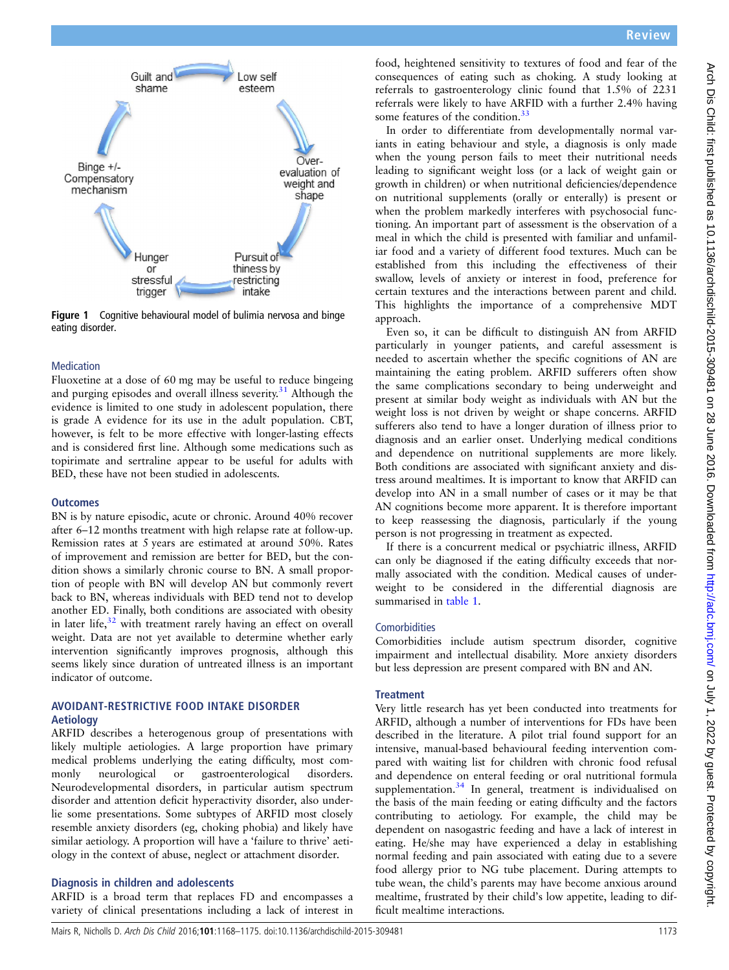<span id="page-5-0"></span>

Figure 1 Cognitive behavioural model of bulimia nervosa and binge eating disorder.

#### Medication

Fluoxetine at a dose of 60 mg may be useful to reduce bingeing and purging episodes and overall illness severity. $31$  Although the evidence is limited to one study in adolescent population, there is grade A evidence for its use in the adult population. CBT, however, is felt to be more effective with longer-lasting effects and is considered first line. Although some medications such as topirimate and sertraline appear to be useful for adults with BED, these have not been studied in adolescents.

#### **Outcomes**

BN is by nature episodic, acute or chronic. Around 40% recover after 6–12 months treatment with high relapse rate at follow-up. Remission rates at 5 years are estimated at around 50%. Rates of improvement and remission are better for BED, but the condition shows a similarly chronic course to BN. A small proportion of people with BN will develop AN but commonly revert back to BN, whereas individuals with BED tend not to develop another ED. Finally, both conditions are associated with obesity in later life, $32$  with treatment rarely having an effect on overall weight. Data are not yet available to determine whether early intervention significantly improves prognosis, although this seems likely since duration of untreated illness is an important indicator of outcome.

# AVOIDANT-RESTRICTIVE FOOD INTAKE DISORDER **Aetiology**

ARFID describes a heterogenous group of presentations with likely multiple aetiologies. A large proportion have primary medical problems underlying the eating difficulty, most commonly neurological or gastroenterological disorders. Neurodevelopmental disorders, in particular autism spectrum disorder and attention deficit hyperactivity disorder, also underlie some presentations. Some subtypes of ARFID most closely resemble anxiety disorders (eg, choking phobia) and likely have similar aetiology. A proportion will have a 'failure to thrive' aetiology in the context of abuse, neglect or attachment disorder.

# Diagnosis in children and adolescents

ARFID is a broad term that replaces FD and encompasses a variety of clinical presentations including a lack of interest in

food, heightened sensitivity to textures of food and fear of the consequences of eating such as choking. A study looking at referrals to gastroenterology clinic found that 1.5% of 2231 referrals were likely to have ARFID with a further 2.4% having some features of the condition. $3\overline{3}$ 

In order to differentiate from developmentally normal variants in eating behaviour and style, a diagnosis is only made when the young person fails to meet their nutritional needs leading to significant weight loss (or a lack of weight gain or growth in children) or when nutritional deficiencies/dependence on nutritional supplements (orally or enterally) is present or when the problem markedly interferes with psychosocial functioning. An important part of assessment is the observation of a meal in which the child is presented with familiar and unfamiliar food and a variety of different food textures. Much can be established from this including the effectiveness of their swallow, levels of anxiety or interest in food, preference for certain textures and the interactions between parent and child. This highlights the importance of a comprehensive MDT approach.

Even so, it can be difficult to distinguish AN from ARFID particularly in younger patients, and careful assessment is needed to ascertain whether the specific cognitions of AN are maintaining the eating problem. ARFID sufferers often show the same complications secondary to being underweight and present at similar body weight as individuals with AN but the weight loss is not driven by weight or shape concerns. ARFID sufferers also tend to have a longer duration of illness prior to diagnosis and an earlier onset. Underlying medical conditions and dependence on nutritional supplements are more likely. Both conditions are associated with significant anxiety and distress around mealtimes. It is important to know that ARFID can develop into AN in a small number of cases or it may be that AN cognitions become more apparent. It is therefore important to keep reassessing the diagnosis, particularly if the young person is not progressing in treatment as expected.

If there is a concurrent medical or psychiatric illness, ARFID can only be diagnosed if the eating difficulty exceeds that normally associated with the condition. Medical causes of underweight to be considered in the differential diagnosis are summarised in [table 1.](#page-2-0)

# **Comorbidities**

Comorbidities include autism spectrum disorder, cognitive impairment and intellectual disability. More anxiety disorders but less depression are present compared with BN and AN.

#### **Treatment**

Very little research has yet been conducted into treatments for ARFID, although a number of interventions for FDs have been described in the literature. A pilot trial found support for an intensive, manual-based behavioural feeding intervention compared with waiting list for children with chronic food refusal and dependence on enteral feeding or oral nutritional formula supplementation.<sup>34</sup> In general, treatment is individualised on the basis of the main feeding or eating difficulty and the factors contributing to aetiology. For example, the child may be dependent on nasogastric feeding and have a lack of interest in eating. He/she may have experienced a delay in establishing normal feeding and pain associated with eating due to a severe food allergy prior to NG tube placement. During attempts to tube wean, the child's parents may have become anxious around mealtime, frustrated by their child's low appetite, leading to difficult mealtime interactions.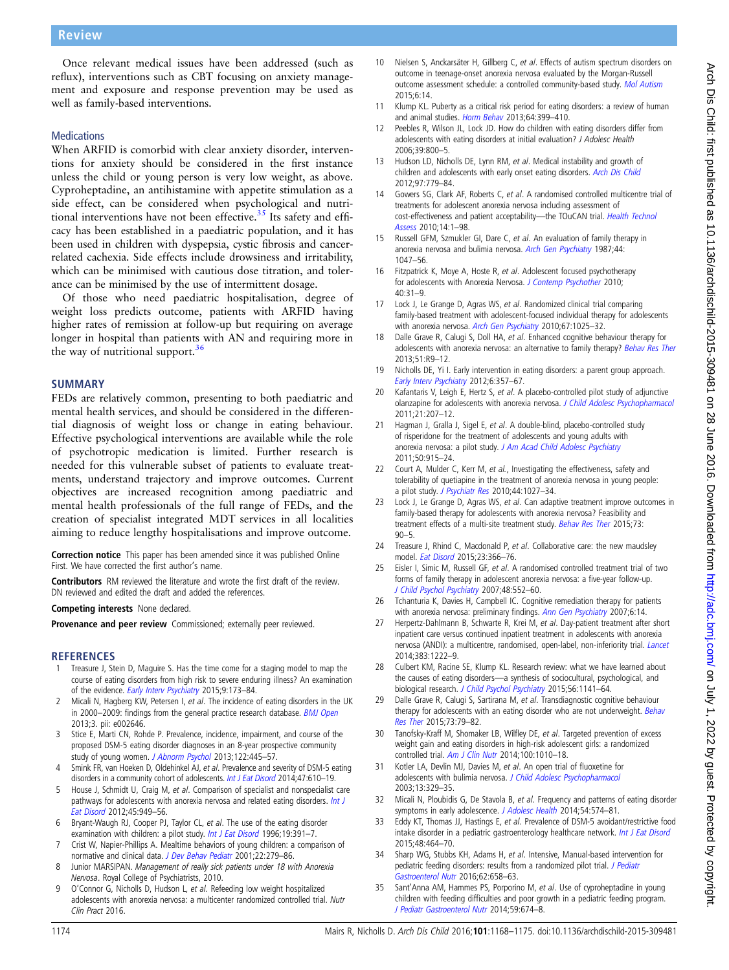<span id="page-6-0"></span>Once relevant medical issues have been addressed (such as reflux), interventions such as CBT focusing on anxiety management and exposure and response prevention may be used as well as family-based interventions.

#### **Medications**

When ARFID is comorbid with clear anxiety disorder, interventions for anxiety should be considered in the first instance unless the child or young person is very low weight, as above. Cyproheptadine, an antihistamine with appetite stimulation as a side effect, can be considered when psychological and nutritional interventions have not been effective.<sup>35</sup> Its safety and efficacy has been established in a paediatric population, and it has been used in children with dyspepsia, cystic fibrosis and cancerrelated cachexia. Side effects include drowsiness and irritability, which can be minimised with cautious dose titration, and tolerance can be minimised by the use of intermittent dosage.

Of those who need paediatric hospitalisation, degree of weight loss predicts outcome, patients with ARFID having higher rates of remission at follow-up but requiring on average longer in hospital than patients with AN and requiring more in the way of nutritional support.<sup>[36](#page-7-0)</sup>

# **SUMMARY**

FEDs are relatively common, presenting to both paediatric and mental health services, and should be considered in the differential diagnosis of weight loss or change in eating behaviour. Effective psychological interventions are available while the role of psychotropic medication is limited. Further research is needed for this vulnerable subset of patients to evaluate treatments, understand trajectory and improve outcomes. Current objectives are increased recognition among paediatric and mental health professionals of the full range of FEDs, and the creation of specialist integrated MDT services in all localities aiming to reduce lengthy hospitalisations and improve outcome.

Correction notice This paper has been amended since it was published Online First. We have corrected the first author's name.

Contributors RM reviewed the literature and wrote the first draft of the review. DN reviewed and edited the draft and added the references.

Competing interests None declared.

Provenance and peer review Commissioned; externally peer reviewed.

# **REFERENCES**

- Treasure J, Stein D, Maguire S. Has the time come for a staging model to map the course of eating disorders from high risk to severe enduring illness? An examination of the evidence. [Early Interv Psychiatry](http://dx.doi.org/10.1111/eip.12170) 2015;9:173-84.
- 2 Micali N, Hagberg KW, Petersen I, et al. The incidence of eating disorders in the UK in 2000–2009: findings from the general practice research database. [BMJ Open](http://dx.doi.org/10.1136/bmjopen-2013-002646) 2013;3. pii: e002646.
- 3 Stice E, Marti CN, Rohde P. Prevalence, incidence, impairment, and course of the proposed DSM-5 eating disorder diagnoses in an 8-year prospective community study of young women. [J Abnorm Psychol](http://dx.doi.org/10.1037/a0030679) 2013;122:445-57.
- 4 Smink FR, van Hoeken D, Oldehinkel AJ, et al. Prevalence and severity of DSM-5 eating disorders in a community cohort of adolescents. [Int J Eat Disord](http://dx.doi.org/10.1002/eat.22316) 2014;47:610-19.
- 5 House J, Schmidt U, Craig M, et al. Comparison of specialist and nonspecialist care pathways for adolescents with anorexia nervosa and related eating disorders. [Int J](http://dx.doi.org/10.1002/eat.22065) [Eat Disord](http://dx.doi.org/10.1002/eat.22065) 2012;45:949–56.
- 6 Bryant-Waugh RJ, Cooper PJ, Taylor CL, et al. The use of the eating disorder examination with children: a pilot study. [Int J Eat Disord](http://dx.doi.org/10.1002/(SICI)1098-108X(199605)19:4<391::AID-EAT6>3.0.CO;2-G) 1996;19:391-7.
- 7 Crist W, Napier-Phillips A. Mealtime behaviors of young children: a comparison of normative and clinical data. [J Dev Behav Pediatr](http://dx.doi.org/10.1097/00004703-200110000-00001) 2001;22:279-86.
- 8 Junior MARSIPAN. Management of really sick patients under 18 with Anorexia Nervosa. Royal College of Psychiatrists, 2010.
- 9 O'Connor G, Nicholls D, Hudson L, et al. Refeeding low weight hospitalized adolescents with anorexia nervosa: a multicenter randomized controlled trial. Nutr Clin Pract 2016.
- 10 Nielsen S, Anckarsäter H, Gillberg C, et al. Effects of autism spectrum disorders on outcome in teenage-onset anorexia nervosa evaluated by the Morgan-Russell outcome assessment schedule: a controlled community-based study. [Mol Autism](http://dx.doi.org/10.1186/s13229-015-0013-4) 2015;6:14.
- 11 Klump KL. Puberty as a critical risk period for eating disorders: a review of human and animal studies. [Horm Behav](http://dx.doi.org/10.1016/j.yhbeh.2013.02.019) 2013:64:399-410.
- 12 Peebles R, Wilson JL, Lock JD. How do children with eating disorders differ from adolescents with eating disorders at initial evaluation? J Adolesc Health 2006;39:800–5.
- 13 Hudson LD, Nicholls DE, Lynn RM, et al. Medical instability and growth of children and adolescents with early onset eating disorders. [Arch Dis Child](http://dx.doi.org/10.1136/archdischild-2011-301055) 2012;97:779–84.
- 14 Gowers SG, Clark AF, Roberts C, et al. A randomised controlled multicentre trial of treatments for adolescent anorexia nervosa including assessment of cost-effectiveness and patient acceptability—the TOuCAN trial. [Health Technol](http://dx.doi.org/10.3310/hta14150) [Assess](http://dx.doi.org/10.3310/hta14150) 2010;14:1–98.
- 15 Russell GFM, Szmukler GI, Dare C, et al. An evaluation of family therapy in anorexia nervosa and bulimia nervosa. [Arch Gen Psychiatry](http://dx.doi.org/10.1001/archpsyc.1987.01800240021004) 1987;44: 1047–56.
- 16 Fitzpatrick K, Moye A, Hoste R, et al. Adolescent focused psychotherapy for adolescents with Anorexia Nervosa. [J Contemp Psychother](http://dx.doi.org/10.1007/s10879-009-9123-7) 2010; 40:31–9.
- 17 Lock J, Le Grange D, Agras WS, et al. Randomized clinical trial comparing family-based treatment with adolescent-focused individual therapy for adolescents with anorexia nervosa. [Arch Gen Psychiatry](http://dx.doi.org/10.1001/archgenpsychiatry.2010.128) 2010;67:1025-32.
- 18 Dalle Grave R, Calugi S, Doll HA, et al. Enhanced cognitive behaviour therapy for adolescents with anorexia nervosa: an alternative to family therapy? [Behav Res Ther](http://dx.doi.org/10.1016/j.brat.2012.09.008) 2013;51:R9–12.
- 19 Nicholls DE, Yi I. Early intervention in eating disorders: a parent group approach. [Early Interv Psychiatry](http://dx.doi.org/10.1111/j.1751-7893.2012.00373.x) 2012;6:357–67.
- 20 Kafantaris V, Leigh E, Hertz S, et al. A placebo-controlled pilot study of adjunctive olanzapine for adolescents with anorexia nervosa. [J Child Adolesc Psychopharmacol](http://dx.doi.org/10.1089/cap.2010.0139) 2011;21:207–12.
- 21 Hagman J, Gralla J, Sigel E, et al. A double-blind, placebo-controlled study of risperidone for the treatment of adolescents and young adults with anorexia nervosa: a pilot study. [J Am Acad Child Adolesc Psychiatry](http://dx.doi.org/10.1016/j.jaac.2011.06.009) 2011;50:915–24.
- 22 Court A, Mulder C, Kerr M, et al., Investigating the effectiveness, safety and tolerability of quetiapine in the treatment of anorexia nervosa in young people: a pilot study. [J Psychiatr Res](http://dx.doi.org/10.1016/j.jpsychires.2010.03.011) 2010;44:1027–34.
- 23 Lock J, Le Grange D, Agras WS, et al. Can adaptive treatment improve outcomes in family-based therapy for adolescents with anorexia nervosa? Feasibility and treatment effects of a multi-site treatment study. [Behav Res Ther](http://dx.doi.org/10.1016/j.brat.2015.07.015) 2015;73:  $90 - 5$
- 24 Treasure J, Rhind C, Macdonald P, et al. Collaborative care: the new maudsley model. [Eat Disord](http://dx.doi.org/10.1080/10640266.2015.1044351) 2015;23:366–76.
- 25 Eisler I, Simic M, Russell GF, et al. A randomised controlled treatment trial of two forms of family therapy in adolescent anorexia nervosa: a five-year follow-up. [J Child Psychol Psychiatry](http://dx.doi.org/10.1111/j.1469-7610.2007.01726.x) 2007;48:552–60.
- 26 Tchanturia K, Davies H, Campbell IC. Cognitive remediation therapy for patients with anorexia nervosa: preliminary findings. Ann [Gen Psychiatry](http://dx.doi.org/10.1186/1744-859X-6-14) 2007;6:14.
- 27 Herpertz-Dahlmann B, Schwarte R, Krei M, et al. Day-patient treatment after short inpatient care versus continued inpatient treatment in adolescents with anorexia nervosa (ANDI): a multicentre, randomised, open-label, non-inferiority trial. [Lancet](http://dx.doi.org/10.1016/S0140-6736(13)62411-3) 2014;383:1222–9.
- 28 Culbert KM, Racine SE, Klump KL. Research review: what we have learned about the causes of eating disorders—a synthesis of sociocultural, psychological, and biological research. [J Child Psychol Psychiatry](http://dx.doi.org/10.1111/jcpp.12441) 2015;56:1141-64.
- 29 Dalle Grave R, Calugi S, Sartirana M, et al. Transdiagnostic cognitive behaviour therapy for adolescents with an eating disorder who are not underweight. [Behav](http://dx.doi.org/10.1016/j.brat.2015.07.014) [Res Ther](http://dx.doi.org/10.1016/j.brat.2015.07.014) 2015;73:79–82.
- 30 Tanofsky-Kraff M, Shomaker LB, Wilfley DE, et al. Targeted prevention of excess weight gain and eating disorders in high-risk adolescent girls: a randomized controlled trial. [Am J Clin Nutr](http://dx.doi.org/10.3945/ajcn.114.092536) 2014;100:1010-18.
- 31 Kotler LA, Devlin MJ, Davies M, et al. An open trial of fluoxetine for adolescents with bulimia nervosa. [J Child Adolesc Psychopharmacol](http://dx.doi.org/10.1089/104454603322572660) 2003;13:329–35.
- 32 Micali N, Ploubidis G, De Stavola B, et al. Frequency and patterns of eating disorder symptoms in early adolescence. [J Adolesc Health](http://dx.doi.org/10.1016/j.jadohealth.2013.10.200) 2014;54:574-81.
- 33 Eddy KT, Thomas JJ, Hastings E, et al. Prevalence of DSM-5 avoidant/restrictive food intake disorder in a pediatric gastroenterology healthcare network. [Int J Eat Disord](http://dx.doi.org/10.1002/eat.22350) 2015;48:464–70.
- 34 Sharp WG, Stubbs KH, Adams H, et al. Intensive, Manual-based intervention for pediatric feeding disorders: results from a randomized pilot trial. [J Pediatr](http://dx.doi.org/10.1097/MPG.0000000000001043) [Gastroenterol Nutr](http://dx.doi.org/10.1097/MPG.0000000000001043) 2016;62:658–63.
- 35 Sant'Anna AM, Hammes PS, Porporino M, et al. Use of cyproheptadine in young children with feeding difficulties and poor growth in a pediatric feeding program. [J Pediatr Gastroenterol Nutr](http://dx.doi.org/10.1097/MPG.0000000000000467) 2014;59:674–8.